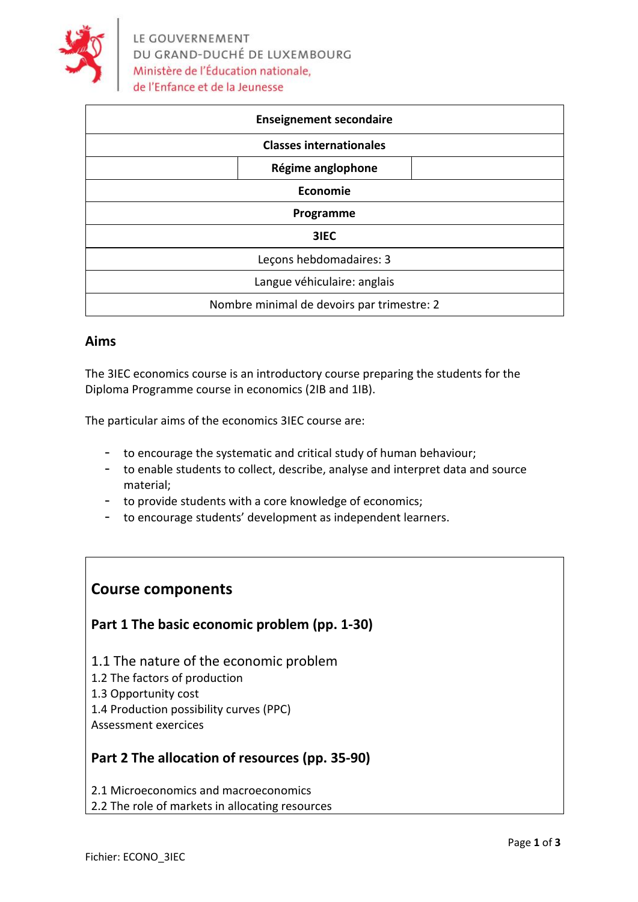

| <b>Enseignement secondaire</b>             |                   |  |
|--------------------------------------------|-------------------|--|
| <b>Classes internationales</b>             |                   |  |
|                                            | Régime anglophone |  |
| Economie                                   |                   |  |
| Programme                                  |                   |  |
| 3IEC                                       |                   |  |
| Leçons hebdomadaires: 3                    |                   |  |
| Langue véhiculaire: anglais                |                   |  |
| Nombre minimal de devoirs par trimestre: 2 |                   |  |

### **Aims**

The 3IEC economics course is an introductory course preparing the students for the Diploma Programme course in economics (2IB and 1IB).

The particular aims of the economics 3IEC course are:

- to encourage the systematic and critical study of human behaviour;
- to enable students to collect, describe, analyse and interpret data and source material;
- to provide students with a core knowledge of economics;
- to encourage students' development as independent learners.

## **Course components**

### **Part 1 The basic economic problem (pp. 1-30)**

- 1.1 The nature of the economic problem
- 1.2 The factors of production
- 1.3 Opportunity cost
- 1.4 Production possibility curves (PPC)
- Assessment exercices

### **Part 2 The allocation of resources (pp. 35-90)**

2.1 Microeconomics and macroeconomics

2.2 The role of markets in allocating resources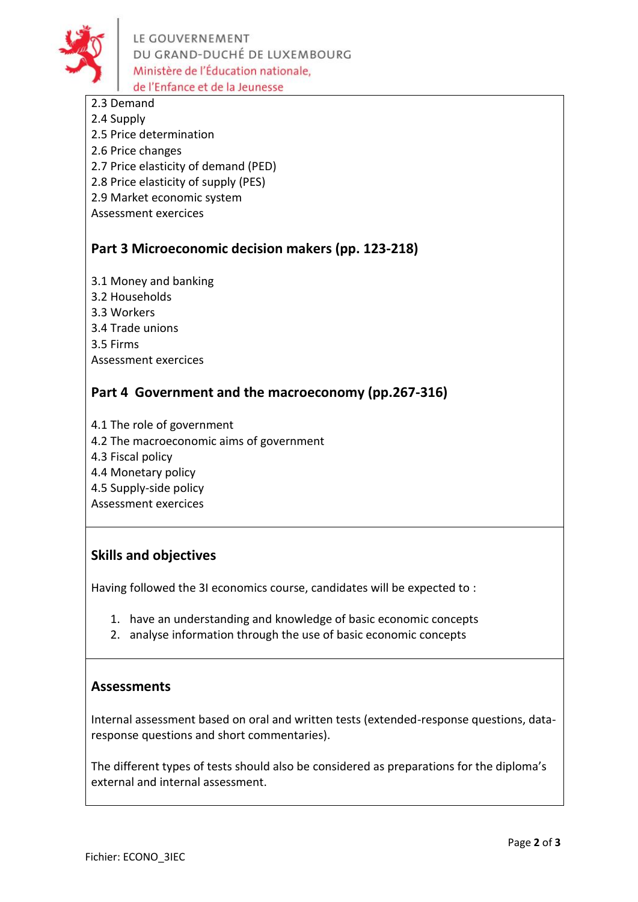

LE GOUVERNEMENT DU GRAND-DUCHÉ DE LUXEMBOURG Ministère de l'Éducation nationale. de l'Enfance et de la Jeunesse

- 2.3 Demand
- 2.4 Supply
- 2.5 Price determination
- 2.6 Price changes
- 2.7 Price elasticity of demand (PED)
- 2.8 Price elasticity of supply (PES)
- 2.9 Market economic system
- Assessment exercices

## **Part 3 Microeconomic decision makers (pp. 123-218)**

- 3.1 Money and banking
- 3.2 Households
- 3.3 Workers
- 3.4 Trade unions
- 3.5 Firms
- Assessment exercices

## **Part 4 Government and the macroeconomy (pp.267-316)**

- 4.1 The role of government
- 4.2 The macroeconomic aims of government
- 4.3 Fiscal policy
- 4.4 Monetary policy
- 4.5 Supply-side policy
- Assessment exercices

## **Skills and objectives**

Having followed the 3I economics course, candidates will be expected to :

- 1. have an understanding and knowledge of basic economic concepts
- 2. analyse information through the use of basic economic concepts

## **Assessments**

Internal assessment based on oral and written tests (extended-response questions, dataresponse questions and short commentaries).

The different types of tests should also be considered as preparations for the diploma's external and internal assessment.